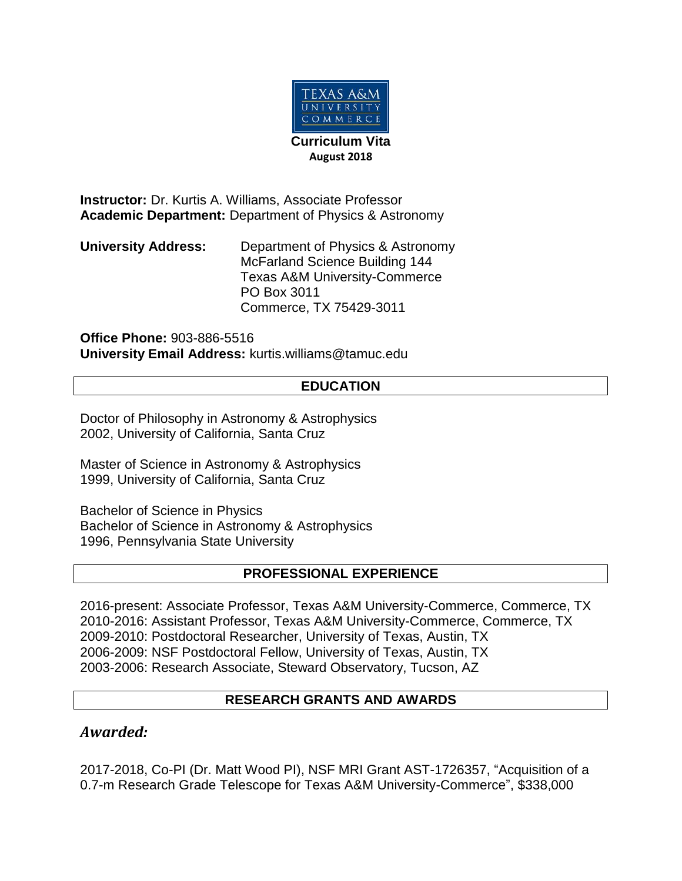

**Instructor:** Dr. Kurtis A. Williams, Associate Professor **Academic Department:** Department of Physics & Astronomy

**University Address:** Department of Physics & Astronomy McFarland Science Building 144 Texas A&M University-Commerce PO Box 3011 Commerce, TX 75429-3011

**Office Phone:** 903-886-5516 **University Email Address:** kurtis.williams@tamuc.edu

#### **EDUCATION**

Doctor of Philosophy in Astronomy & Astrophysics 2002, University of California, Santa Cruz

Master of Science in Astronomy & Astrophysics 1999, University of California, Santa Cruz

Bachelor of Science in Physics Bachelor of Science in Astronomy & Astrophysics 1996, Pennsylvania State University

#### **PROFESSIONAL EXPERIENCE**

2016-present: Associate Professor, Texas A&M University-Commerce, Commerce, TX 2010-2016: Assistant Professor, Texas A&M University-Commerce, Commerce, TX 2009-2010: Postdoctoral Researcher, University of Texas, Austin, TX 2006-2009: NSF Postdoctoral Fellow, University of Texas, Austin, TX 2003-2006: Research Associate, Steward Observatory, Tucson, AZ

#### **RESEARCH GRANTS AND AWARDS**

#### *Awarded:*

2017-2018, Co-PI (Dr. Matt Wood PI), NSF MRI Grant AST-1726357, "Acquisition of a 0.7-m Research Grade Telescope for Texas A&M University-Commerce", \$338,000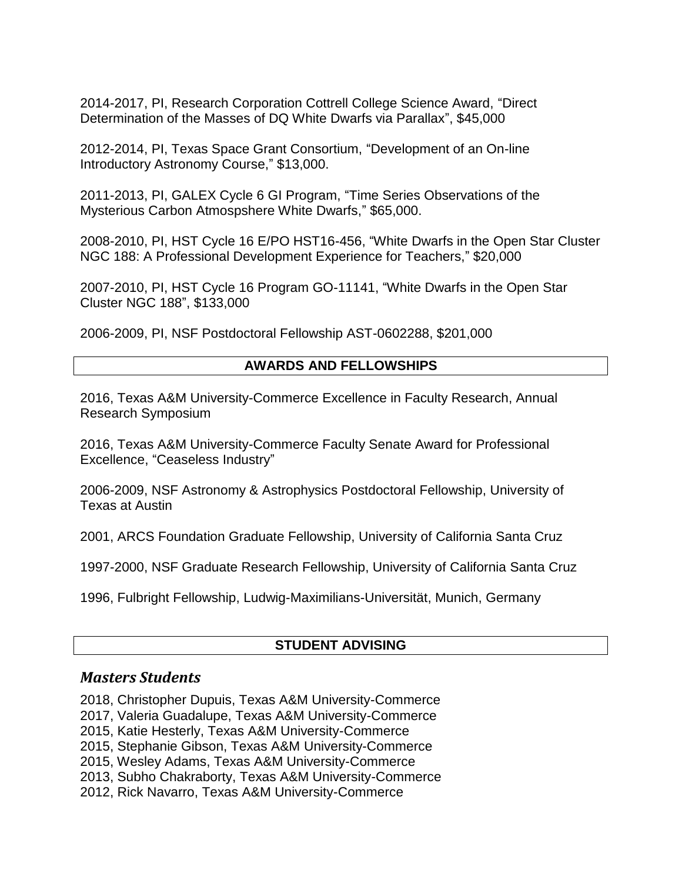2014-2017, PI, Research Corporation Cottrell College Science Award, "Direct Determination of the Masses of DQ White Dwarfs via Parallax", \$45,000

2012-2014, PI, Texas Space Grant Consortium, "Development of an On-line Introductory Astronomy Course," \$13,000.

2011-2013, PI, GALEX Cycle 6 GI Program, "Time Series Observations of the Mysterious Carbon Atmospshere White Dwarfs," \$65,000.

2008-2010, PI, HST Cycle 16 E/PO HST16-456, "White Dwarfs in the Open Star Cluster NGC 188: A Professional Development Experience for Teachers," \$20,000

2007-2010, PI, HST Cycle 16 Program GO-11141, "White Dwarfs in the Open Star Cluster NGC 188", \$133,000

2006-2009, PI, NSF Postdoctoral Fellowship AST-0602288, \$201,000

### **AWARDS AND FELLOWSHIPS**

2016, Texas A&M University-Commerce Excellence in Faculty Research, Annual Research Symposium

2016, Texas A&M University-Commerce Faculty Senate Award for Professional Excellence, "Ceaseless Industry"

2006-2009, NSF Astronomy & Astrophysics Postdoctoral Fellowship, University of Texas at Austin

2001, ARCS Foundation Graduate Fellowship, University of California Santa Cruz

1997-2000, NSF Graduate Research Fellowship, University of California Santa Cruz

1996, Fulbright Fellowship, Ludwig-Maximilians-Universität, Munich, Germany

#### **STUDENT ADVISING**

## *Masters Students*

2018, Christopher Dupuis, Texas A&M University-Commerce

2017, Valeria Guadalupe, Texas A&M University-Commerce

2015, Katie Hesterly, Texas A&M University-Commerce

2015, Stephanie Gibson, Texas A&M University-Commerce

2015, Wesley Adams, Texas A&M University-Commerce

2013, Subho Chakraborty, Texas A&M University-Commerce

2012, Rick Navarro, Texas A&M University-Commerce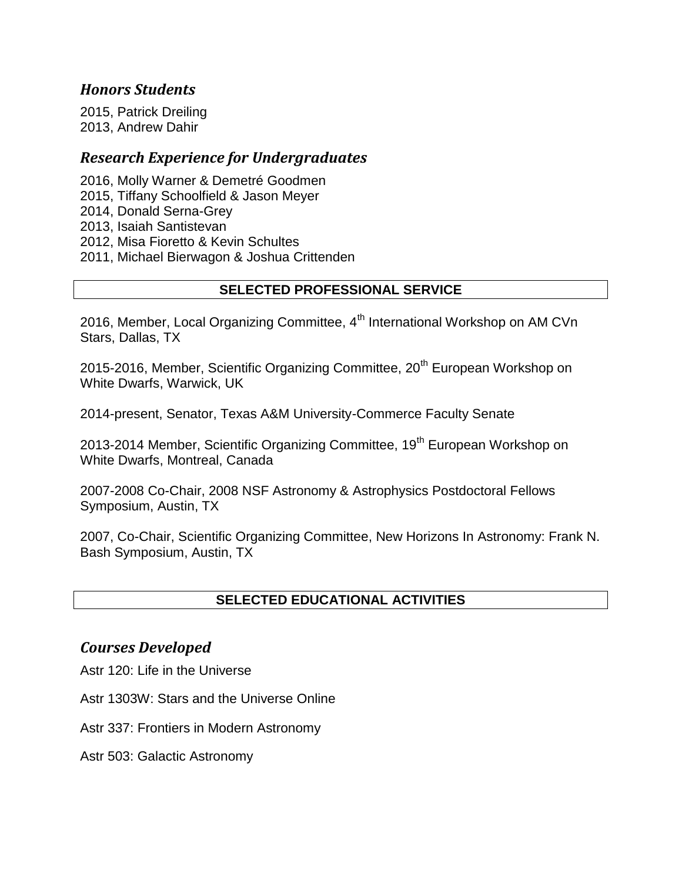### *Honors Students*

2015, Patrick Dreiling 2013, Andrew Dahir

#### *Research Experience for Undergraduates*

2016, Molly Warner & Demetré Goodmen 2015, Tiffany Schoolfield & Jason Meyer 2014, Donald Serna-Grey 2013, Isaiah Santistevan 2012, Misa Fioretto & Kevin Schultes 2011, Michael Bierwagon & Joshua Crittenden

#### **SELECTED PROFESSIONAL SERVICE**

2016, Member, Local Organizing Committee, 4<sup>th</sup> International Workshop on AM CVn Stars, Dallas, TX

2015-2016, Member, Scientific Organizing Committee, 20<sup>th</sup> European Workshop on White Dwarfs, Warwick, UK

2014-present, Senator, Texas A&M University-Commerce Faculty Senate

2013-2014 Member, Scientific Organizing Committee, 19<sup>th</sup> European Workshop on White Dwarfs, Montreal, Canada

2007-2008 Co-Chair, 2008 NSF Astronomy & Astrophysics Postdoctoral Fellows Symposium, Austin, TX

2007, Co-Chair, Scientific Organizing Committee, New Horizons In Astronomy: Frank N. Bash Symposium, Austin, TX

#### **SELECTED EDUCATIONAL ACTIVITIES**

#### *Courses Developed*

Astr 120: Life in the Universe

Astr 1303W: Stars and the Universe Online

Astr 337: Frontiers in Modern Astronomy

Astr 503: Galactic Astronomy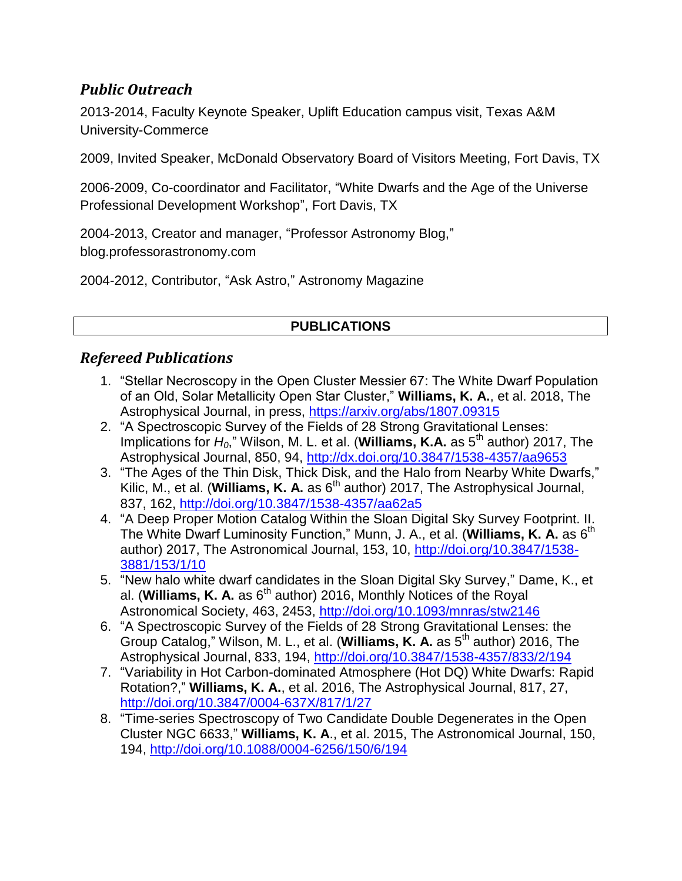# *Public Outreach*

2013-2014, Faculty Keynote Speaker, Uplift Education campus visit, Texas A&M University-Commerce

2009, Invited Speaker, McDonald Observatory Board of Visitors Meeting, Fort Davis, TX

2006-2009, Co-coordinator and Facilitator, "White Dwarfs and the Age of the Universe Professional Development Workshop", Fort Davis, TX

2004-2013, Creator and manager, "Professor Astronomy Blog," blog.professorastronomy.com

2004-2012, Contributor, "Ask Astro," Astronomy Magazine

### **PUBLICATIONS**

## *Refereed Publications*

- 1. "Stellar Necroscopy in the Open Cluster Messier 67: The White Dwarf Population of an Old, Solar Metallicity Open Star Cluster," **Williams, K. A.**, et al. 2018, The Astrophysical Journal, in press,<https://arxiv.org/abs/1807.09315>
- 2. "A Spectroscopic Survey of the Fields of 28 Strong Gravitational Lenses: Implications for H<sub>0</sub>," Wilson, M. L. et al. (**Williams, K.A.** as 5<sup>th</sup> author) 2017, The Astrophysical Journal, 850, 94,<http://dx.doi.org/10.3847/1538-4357/aa9653>
- 3. "The Ages of the Thin Disk, Thick Disk, and the Halo from Nearby White Dwarfs," Kilic, M., et al. (**Williams, K. A.** as 6<sup>th</sup> author) 2017, The Astrophysical Journal, 837, 162, <http://doi.org/10.3847/1538-4357/aa62a5>
- 4. "A Deep Proper Motion Catalog Within the Sloan Digital Sky Survey Footprint. II. The White Dwarf Luminosity Function," Munn, J. A., et al. (**Williams, K. A.** as 6th author) 2017, The Astronomical Journal, 153, 10, [http://doi.org/10.3847/1538-](http://doi.org/10.3847/1538-3881/153/1/10) [3881/153/1/10](http://doi.org/10.3847/1538-3881/153/1/10)
- 5. "New halo white dwarf candidates in the Sloan Digital Sky Survey," Dame, K., et al. (**Williams, K. A.** as 6<sup>th</sup> author) 2016, Monthly Notices of the Royal Astronomical Society, 463, 2453, <http://doi.org/10.1093/mnras/stw2146>
- 6. "A Spectroscopic Survey of the Fields of 28 Strong Gravitational Lenses: the Group Catalog," Wilson, M. L., et al. (**Williams, K. A.** as 5th author) 2016, The Astrophysical Journal, 833, 194, <http://doi.org/10.3847/1538-4357/833/2/194>
- 7. "Variability in Hot Carbon-dominated Atmosphere (Hot DQ) White Dwarfs: Rapid Rotation?," **Williams, K. A.**, et al. 2016, The Astrophysical Journal, 817, 27, <http://doi.org/10.3847/0004-637X/817/1/27>
- 8. "Time-series Spectroscopy of Two Candidate Double Degenerates in the Open Cluster NGC 6633," **Williams, K. A**., et al. 2015, The Astronomical Journal, 150, 194, <http://doi.org/10.1088/0004-6256/150/6/194>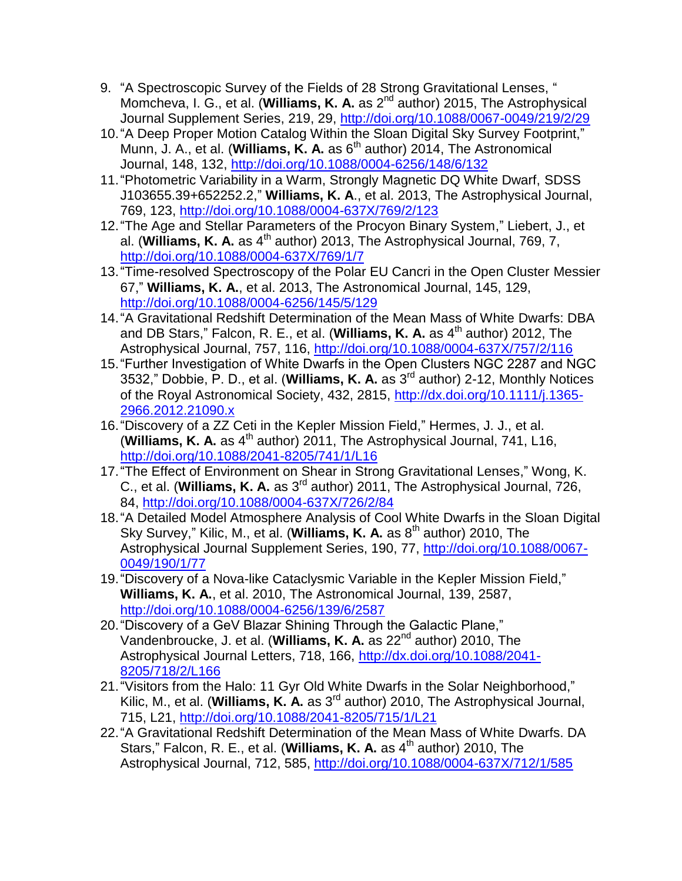- 9. "A Spectroscopic Survey of the Fields of 28 Strong Gravitational Lenses, " Momcheva, I. G., et al. (**Williams, K. A.** as 2nd author) 2015, The Astrophysical Journal Supplement Series, 219, 29, <http://doi.org/10.1088/0067-0049/219/2/29>
- 10."A Deep Proper Motion Catalog Within the Sloan Digital Sky Survey Footprint," Munn, J. A., et al. (**Williams, K. A.** as 6<sup>th</sup> author) 2014, The Astronomical Journal, 148, 132, <http://doi.org/10.1088/0004-6256/148/6/132>
- 11."Photometric Variability in a Warm, Strongly Magnetic DQ White Dwarf, SDSS J103655.39+652252.2," **Williams, K. A**., et al. 2013, The Astrophysical Journal, 769, 123, <http://doi.org/10.1088/0004-637X/769/2/123>
- 12."The Age and Stellar Parameters of the Procyon Binary System," Liebert, J., et al. (**Williams, K. A.** as 4<sup>th</sup> author) 2013, The Astrophysical Journal, 769, 7, <http://doi.org/10.1088/0004-637X/769/1/7>
- 13."Time-resolved Spectroscopy of the Polar EU Cancri in the Open Cluster Messier 67," **Williams, K. A.**, et al. 2013, The Astronomical Journal, 145, 129, <http://doi.org/10.1088/0004-6256/145/5/129>
- 14."A Gravitational Redshift Determination of the Mean Mass of White Dwarfs: DBA and DB Stars," Falcon, R. E., et al. (**Williams, K. A.** as 4<sup>th</sup> author) 2012, The Astrophysical Journal, 757, 116, <http://doi.org/10.1088/0004-637X/757/2/116>
- 15."Further Investigation of White Dwarfs in the Open Clusters NGC 2287 and NGC 3532," Dobbie, P. D., et al. (**Williams, K. A.** as 3rd author) 2-12, Monthly Notices of the Royal Astronomical Society, 432, 2815, [http://dx.doi.org/10.1111/j.1365-](http://dx.doi.org/10.1111/j.1365-2966.2012.21090.x) [2966.2012.21090.x](http://dx.doi.org/10.1111/j.1365-2966.2012.21090.x)
- 16."Discovery of a ZZ Ceti in the Kepler Mission Field," Hermes, J. J., et al. (Williams, K. A. as 4<sup>th</sup> author) 2011, The Astrophysical Journal, 741, L16, <http://doi.org/10.1088/2041-8205/741/1/L16>
- 17."The Effect of Environment on Shear in Strong Gravitational Lenses," Wong, K. C., et al. (**Williams, K. A.** as 3rd author) 2011, The Astrophysical Journal, 726, 84, <http://doi.org/10.1088/0004-637X/726/2/84>
- 18."A Detailed Model Atmosphere Analysis of Cool White Dwarfs in the Sloan Digital Sky Survey," Kilic, M., et al. (**Williams, K. A.** as 8<sup>th</sup> author) 2010, The Astrophysical Journal Supplement Series, 190, 77, [http://doi.org/10.1088/0067-](http://doi.org/10.1088/0067-0049/190/1/77) [0049/190/1/77](http://doi.org/10.1088/0067-0049/190/1/77)
- 19."Discovery of a Nova-like Cataclysmic Variable in the Kepler Mission Field," **Williams, K. A.**, et al. 2010, The Astronomical Journal, 139, 2587, <http://doi.org/10.1088/0004-6256/139/6/2587>
- 20."Discovery of a GeV Blazar Shining Through the Galactic Plane," Vandenbroucke, J. et al. (**Williams, K. A.** as 22nd author) 2010, The Astrophysical Journal Letters, 718, 166, [http://dx.doi.org/10.1088/2041-](http://dx.doi.org/10.1088/2041-8205/718/2/L166) [8205/718/2/L166](http://dx.doi.org/10.1088/2041-8205/718/2/L166)
- 21."Visitors from the Halo: 11 Gyr Old White Dwarfs in the Solar Neighborhood," Kilic, M., et al. (**Williams, K. A.** as 3rd author) 2010, The Astrophysical Journal, 715, L21, <http://doi.org/10.1088/2041-8205/715/1/L21>
- 22."A Gravitational Redshift Determination of the Mean Mass of White Dwarfs. DA Stars," Falcon, R. E., et al. (**Williams, K. A.** as 4<sup>th</sup> author) 2010, The Astrophysical Journal, 712, 585, <http://doi.org/10.1088/0004-637X/712/1/585>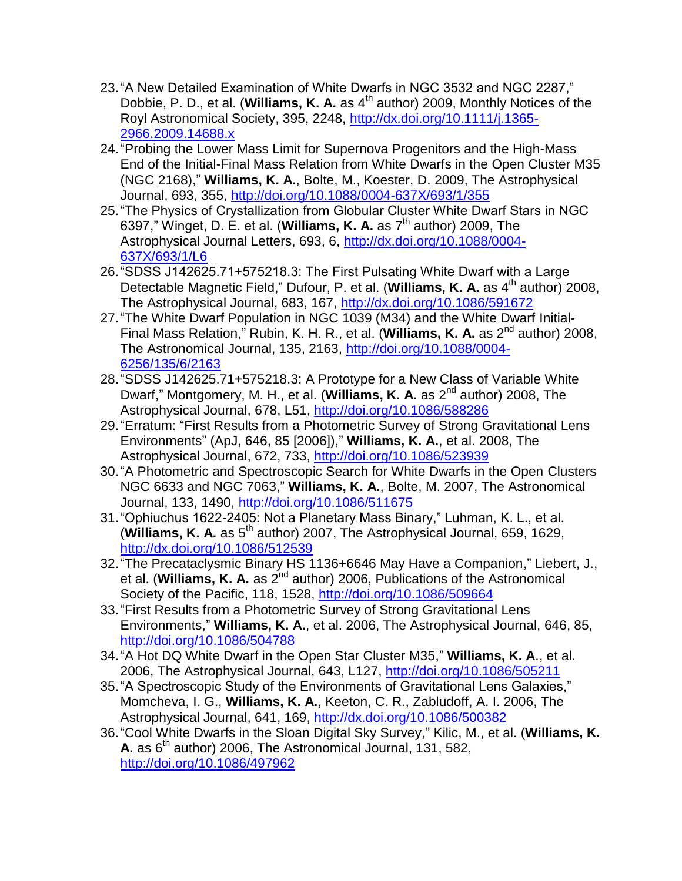- 23."A New Detailed Examination of White Dwarfs in NGC 3532 and NGC 2287," Dobbie, P. D., et al. (**Williams, K. A.** as 4<sup>th</sup> author) 2009, Monthly Notices of the Royl Astronomical Society, 395, 2248, [http://dx.doi.org/10.1111/j.1365-](http://dx.doi.org/10.1111/j.1365-2966.2009.14688.x) [2966.2009.14688.x](http://dx.doi.org/10.1111/j.1365-2966.2009.14688.x)
- 24."Probing the Lower Mass Limit for Supernova Progenitors and the High-Mass End of the Initial-Final Mass Relation from White Dwarfs in the Open Cluster M35 (NGC 2168)," **Williams, K. A.**, Bolte, M., Koester, D. 2009, The Astrophysical Journal, 693, 355, <http://doi.org/10.1088/0004-637X/693/1/355>
- 25."The Physics of Crystallization from Globular Cluster White Dwarf Stars in NGC 6397," Winget, D. E. et al. (**Williams, K. A.** as 7th author) 2009, The Astrophysical Journal Letters, 693, 6, [http://dx.doi.org/10.1088/0004-](http://dx.doi.org/10.1088/0004-637X/693/1/L6) [637X/693/1/L6](http://dx.doi.org/10.1088/0004-637X/693/1/L6)
- 26."SDSS J142625.71+575218.3: The First Pulsating White Dwarf with a Large Detectable Magnetic Field," Dufour, P. et al. (**Williams, K. A.** as 4<sup>th</sup> author) 2008, The Astrophysical Journal, 683, 167,<http://dx.doi.org/10.1086/591672>
- 27."The White Dwarf Population in NGC 1039 (M34) and the White Dwarf Initial-Final Mass Relation," Rubin, K. H. R., et al. (**Williams, K. A.** as 2nd author) 2008, The Astronomical Journal, 135, 2163, [http://doi.org/10.1088/0004-](http://doi.org/10.1088/0004-6256/135/6/2163) [6256/135/6/2163](http://doi.org/10.1088/0004-6256/135/6/2163)
- 28."SDSS J142625.71+575218.3: A Prototype for a New Class of Variable White Dwarf," Montgomery, M. H., et al. (**Williams, K. A.** as 2nd author) 2008, The Astrophysical Journal, 678, L51, <http://doi.org/10.1086/588286>
- 29."Erratum: "First Results from a Photometric Survey of Strong Gravitational Lens Environments" (ApJ, 646, 85 [2006])," **Williams, K. A.**, et al. 2008, The Astrophysical Journal, 672, 733, <http://doi.org/10.1086/523939>
- 30."A Photometric and Spectroscopic Search for White Dwarfs in the Open Clusters NGC 6633 and NGC 7063," **Williams, K. A.**, Bolte, M. 2007, The Astronomical Journal, 133, 1490, <http://doi.org/10.1086/511675>
- 31."Ophiuchus 1622-2405: Not a Planetary Mass Binary," Luhman, K. L., et al. (**Williams, K. A.** as 5th author) 2007, The Astrophysical Journal, 659, 1629, <http://dx.doi.org/10.1086/512539>
- 32."The Precataclysmic Binary HS 1136+6646 May Have a Companion," Liebert, J., et al. (**Williams, K. A.** as 2<sup>nd</sup> author) 2006, Publications of the Astronomical Society of the Pacific, 118, 1528, <http://doi.org/10.1086/509664>
- 33."First Results from a Photometric Survey of Strong Gravitational Lens Environments," **Williams, K. A.**, et al. 2006, The Astrophysical Journal, 646, 85, <http://doi.org/10.1086/504788>
- 34."A Hot DQ White Dwarf in the Open Star Cluster M35," **Williams, K. A**., et al. 2006, The Astrophysical Journal, 643, L127, <http://doi.org/10.1086/505211>
- 35."A Spectroscopic Study of the Environments of Gravitational Lens Galaxies," Momcheva, I. G., **Williams, K. A.**, Keeton, C. R., Zabludoff, A. I. 2006, The Astrophysical Journal, 641, 169,<http://dx.doi.org/10.1086/500382>
- 36."Cool White Dwarfs in the Sloan Digital Sky Survey," Kilic, M., et al. (**Williams, K. A.** as  $6<sup>th</sup>$  author) 2006, The Astronomical Journal, 131, 582, <http://doi.org/10.1086/497962>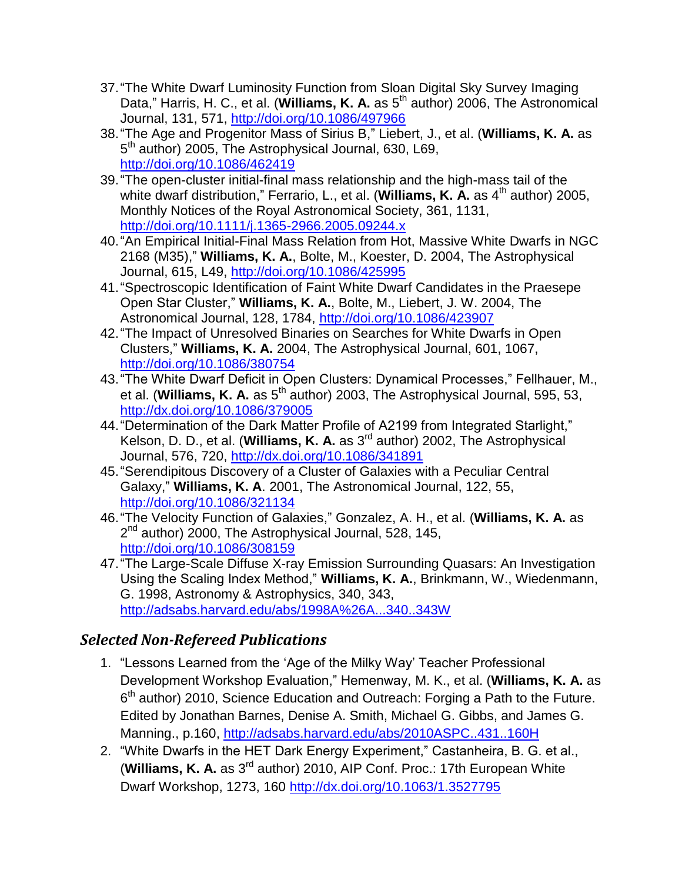- 37."The White Dwarf Luminosity Function from Sloan Digital Sky Survey Imaging Data," Harris, H. C., et al. (**Williams, K. A.** as 5<sup>th</sup> author) 2006, The Astronomical Journal, 131, 571, <http://doi.org/10.1086/497966>
- 38."The Age and Progenitor Mass of Sirius B," Liebert, J., et al. (**Williams, K. A.** as 5<sup>th</sup> author) 2005, The Astrophysical Journal, 630, L69, <http://doi.org/10.1086/462419>
- 39."The open-cluster initial-final mass relationship and the high-mass tail of the white dwarf distribution," Ferrario, L., et al. (**Williams, K. A.** as 4<sup>th</sup> author) 2005, Monthly Notices of the Royal Astronomical Society, 361, 1131, <http://doi.org/10.1111/j.1365-2966.2005.09244.x>
- 40."An Empirical Initial-Final Mass Relation from Hot, Massive White Dwarfs in NGC 2168 (M35)," **Williams, K. A.**, Bolte, M., Koester, D. 2004, The Astrophysical Journal, 615, L49, <http://doi.org/10.1086/425995>
- 41."Spectroscopic Identification of Faint White Dwarf Candidates in the Praesepe Open Star Cluster," **Williams, K. A.**, Bolte, M., Liebert, J. W. 2004, The Astronomical Journal, 128, 1784, <http://doi.org/10.1086/423907>
- 42."The Impact of Unresolved Binaries on Searches for White Dwarfs in Open Clusters," **Williams, K. A.** 2004, The Astrophysical Journal, 601, 1067, <http://doi.org/10.1086/380754>
- 43."The White Dwarf Deficit in Open Clusters: Dynamical Processes," Fellhauer, M., et al. (**Williams, K. A.** as 5<sup>th</sup> author) 2003, The Astrophysical Journal, 595, 53, <http://dx.doi.org/10.1086/379005>
- 44."Determination of the Dark Matter Profile of A2199 from Integrated Starlight," Kelson, D. D., et al. (**Williams, K. A.** as 3rd author) 2002, The Astrophysical Journal, 576, 720,<http://dx.doi.org/10.1086/341891>
- 45."Serendipitous Discovery of a Cluster of Galaxies with a Peculiar Central Galaxy," **Williams, K. A**. 2001, The Astronomical Journal, 122, 55, <http://doi.org/10.1086/321134>
- 46."The Velocity Function of Galaxies," Gonzalez, A. H., et al. (**Williams, K. A.** as 2<sup>nd</sup> author) 2000, The Astrophysical Journal, 528, 145, <http://doi.org/10.1086/308159>
- 47."The Large-Scale Diffuse X-ray Emission Surrounding Quasars: An Investigation Using the Scaling Index Method," **Williams, K. A.**, Brinkmann, W., Wiedenmann, G. 1998, Astronomy & Astrophysics, 340, 343, <http://adsabs.harvard.edu/abs/1998A%26A...340..343W>

# *Selected Non-Refereed Publications*

- 1. "Lessons Learned from the 'Age of the Milky Way' Teacher Professional Development Workshop Evaluation," Hemenway, M. K., et al. (**Williams, K. A.** as 6<sup>th</sup> author) 2010, Science Education and Outreach: Forging a Path to the Future. Edited by Jonathan Barnes, Denise A. Smith, Michael G. Gibbs, and James G. Manning., p.160,<http://adsabs.harvard.edu/abs/2010ASPC..431..160H>
- 2. "White Dwarfs in the HET Dark Energy Experiment," Castanheira, B. G. et al., (**Williams, K. A.** as 3rd author) 2010, AIP Conf. Proc.: 17th European White Dwarf Workshop, 1273, 160 <http://dx.doi.org/10.1063/1.3527795>